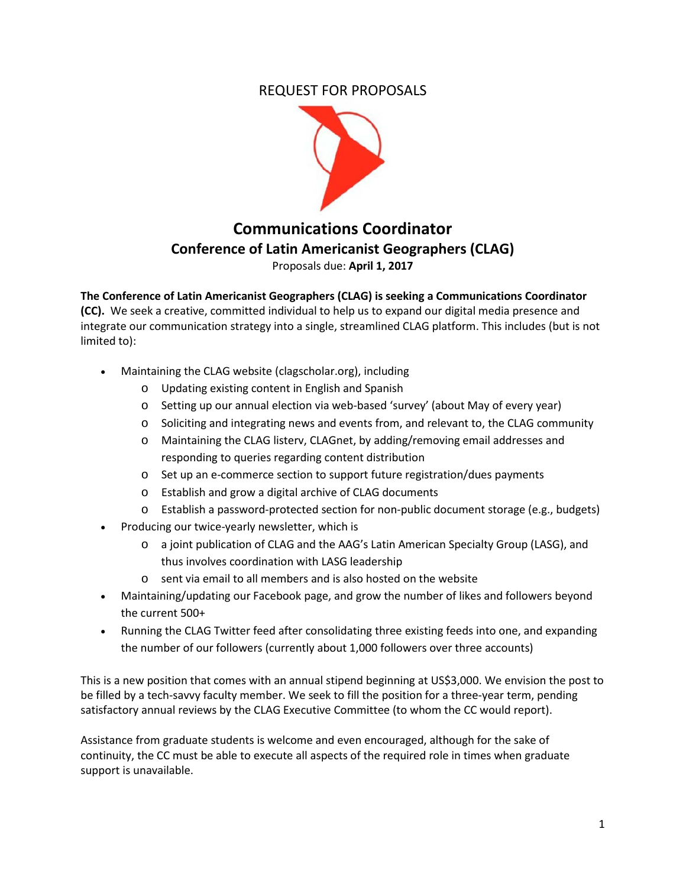## REQUEST FOR PROPOSALS



# **Communications Coordinator Conference of Latin Americanist Geographers (CLAG)** Proposals due: **April 1, 2017**

**The Conference of Latin Americanist Geographers (CLAG) is seeking a Communications Coordinator (CC).** We seek a creative, committed individual to help us to expand our digital media presence and integrate our communication strategy into a single, streamlined CLAG platform. This includes (but is not limited to):

- Maintaining the CLAG website (clagscholar.org), including
	- o Updating existing content in English and Spanish
	- o Setting up our annual election via web-based 'survey' (about May of every year)
	- o Soliciting and integrating news and events from, and relevant to, the CLAG community
	- o Maintaining the CLAG listerv, CLAGnet, by adding/removing email addresses and responding to queries regarding content distribution
	- o Set up an e-commerce section to support future registration/dues payments
	- o Establish and grow a digital archive of CLAG documents
	- o Establish a password-protected section for non-public document storage (e.g., budgets)
- Producing our twice-yearly newsletter, which is
	- o a joint publication of CLAG and the AAG's Latin American Specialty Group (LASG), and thus involves coordination with LASG leadership
	- o sent via email to all members and is also hosted on the website
- Maintaining/updating our Facebook page, and grow the number of likes and followers beyond the current 500+
- Running the CLAG Twitter feed after consolidating three existing feeds into one, and expanding the number of our followers (currently about 1,000 followers over three accounts)

This is a new position that comes with an annual stipend beginning at US\$3,000. We envision the post to be filled by a tech-savvy faculty member. We seek to fill the position for a three-year term, pending satisfactory annual reviews by the CLAG Executive Committee (to whom the CC would report).

Assistance from graduate students is welcome and even encouraged, although for the sake of continuity, the CC must be able to execute all aspects of the required role in times when graduate support is unavailable.